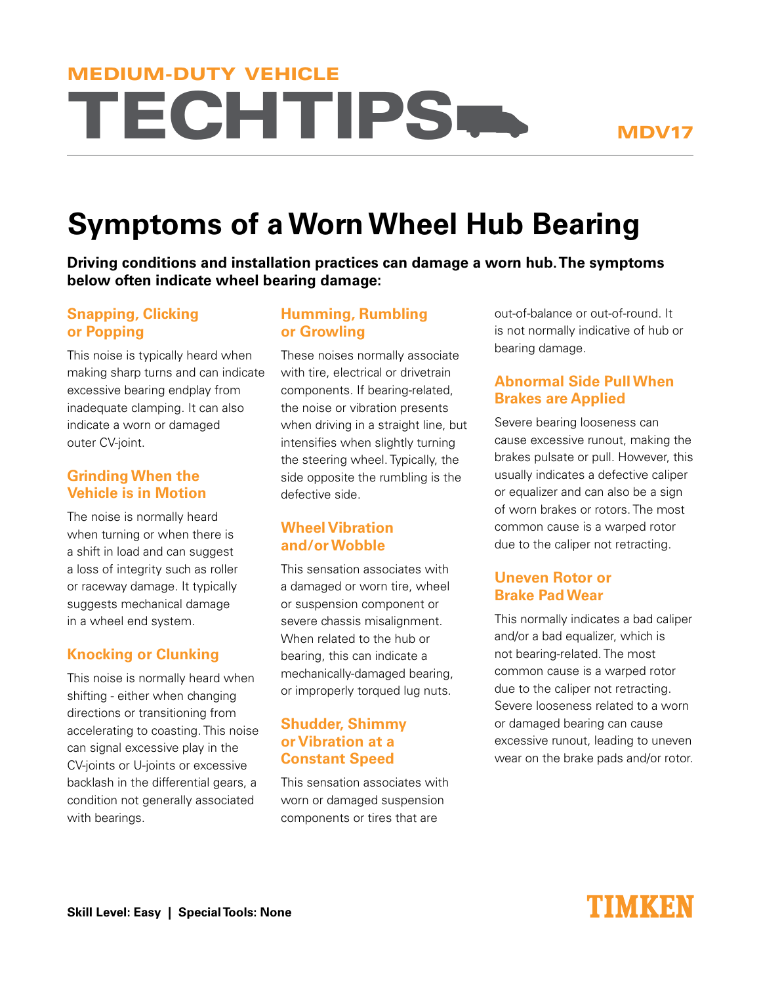# **TECHTIPS.** MEDIUM-DUTY VEHICLE

# **Symptoms of a Worn Wheel Hub Bearing**

**Driving conditions and installation practices can damage a worn hub. The symptoms below often indicate wheel bearing damage:**

# **Snapping, Clicking or Popping**

This noise is typically heard when making sharp turns and can indicate excessive bearing endplay from inadequate clamping. It can also indicate a worn or damaged outer CV-joint.

# **Grinding When the Vehicle is in Motion**

The noise is normally heard when turning or when there is a shift in load and can suggest a loss of integrity such as roller or raceway damage. It typically suggests mechanical damage in a wheel end system.

# **Knocking or Clunking**

This noise is normally heard when shifting - either when changing directions or transitioning from accelerating to coasting. This noise can signal excessive play in the CV-joints or U-joints or excessive backlash in the differential gears, a condition not generally associated with bearings.

# **Humming, Rumbling or Growling**

These noises normally associate with tire, electrical or drivetrain components. If bearing-related, the noise or vibration presents when driving in a straight line, but intensifies when slightly turning the steering wheel. Typically, the side opposite the rumbling is the defective side.

# **Wheel Vibration and/or Wobble**

This sensation associates with a damaged or worn tire, wheel or suspension component or severe chassis misalignment. When related to the hub or bearing, this can indicate a mechanically-damaged bearing, or improperly torqued lug nuts.

# **Shudder, Shimmy or Vibration at a Constant Speed**

This sensation associates with worn or damaged suspension components or tires that are

out-of-balance or out-of-round. It is not normally indicative of hub or bearing damage.

# **Abnormal Side Pull When Brakes are Applied**

Severe bearing looseness can cause excessive runout, making the brakes pulsate or pull. However, this usually indicates a defective caliper or equalizer and can also be a sign of worn brakes or rotors. The most common cause is a warped rotor due to the caliper not retracting.

# **Uneven Rotor or Brake Pad Wear**

This normally indicates a bad caliper and/or a bad equalizer, which is not bearing-related. The most common cause is a warped rotor due to the caliper not retracting. Severe looseness related to a worn or damaged bearing can cause excessive runout, leading to uneven wear on the brake pads and/or rotor.